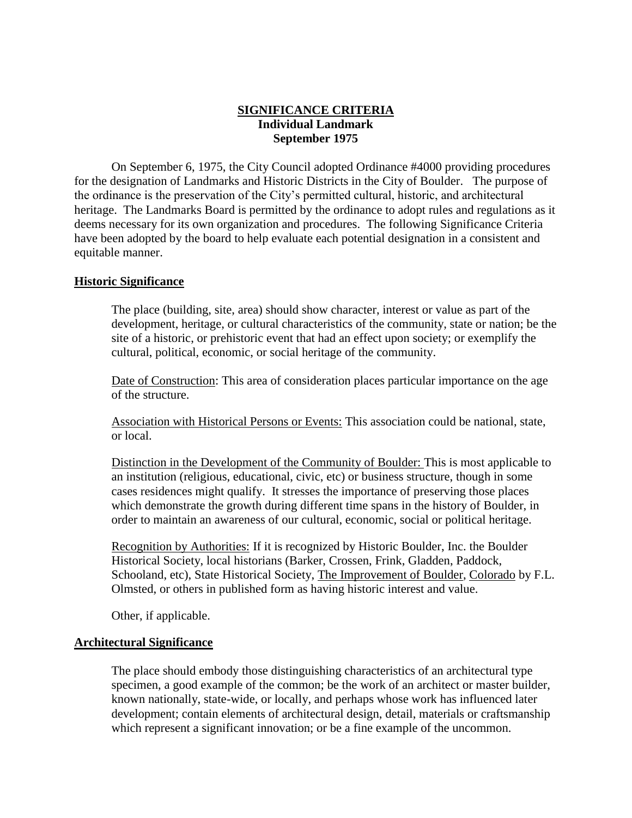## **SIGNIFICANCE CRITERIA Individual Landmark September 1975**

On September 6, 1975, the City Council adopted Ordinance #4000 providing procedures for the designation of Landmarks and Historic Districts in the City of Boulder. The purpose of the ordinance is the preservation of the City's permitted cultural, historic, and architectural heritage. The Landmarks Board is permitted by the ordinance to adopt rules and regulations as it deems necessary for its own organization and procedures. The following Significance Criteria have been adopted by the board to help evaluate each potential designation in a consistent and equitable manner.

## **Historic Significance**

The place (building, site, area) should show character, interest or value as part of the development, heritage, or cultural characteristics of the community, state or nation; be the site of a historic, or prehistoric event that had an effect upon society; or exemplify the cultural, political, economic, or social heritage of the community.

Date of Construction: This area of consideration places particular importance on the age of the structure.

Association with Historical Persons or Events: This association could be national, state, or local.

Distinction in the Development of the Community of Boulder: This is most applicable to an institution (religious, educational, civic, etc) or business structure, though in some cases residences might qualify. It stresses the importance of preserving those places which demonstrate the growth during different time spans in the history of Boulder, in order to maintain an awareness of our cultural, economic, social or political heritage.

Recognition by Authorities: If it is recognized by Historic Boulder, Inc. the Boulder Historical Society, local historians (Barker, Crossen, Frink, Gladden, Paddock, Schooland, etc), State Historical Society, The Improvement of Boulder, Colorado by F.L. Olmsted, or others in published form as having historic interest and value.

Other, if applicable.

## **Architectural Significance**

The place should embody those distinguishing characteristics of an architectural type specimen, a good example of the common; be the work of an architect or master builder, known nationally, state-wide, or locally, and perhaps whose work has influenced later development; contain elements of architectural design, detail, materials or craftsmanship which represent a significant innovation; or be a fine example of the uncommon.